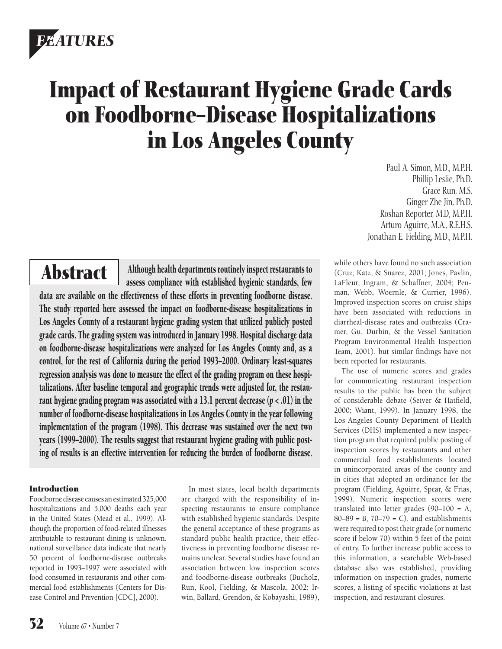

## **on Foodborne-Disease Hospitalizations Impact of Restaurant Hygiene Grade Cards in Los Angeles County**

Paul A. Simon, M.D., M.P.H. Phillip Leslie, Ph.D. Grace Run, M.S. Ginger Zhe Jin, Ph.D. Roshan Reporter, M.D, M.P.H. Arturo Aguirre, M.A., R.E.H.S. Jonathan E. Fielding, M.D., M.P.H.

## *TABLE* **Abstract**

 Although health departments routinely inspect restaurants to assess compliance with established hygienic standards, few

on roomborne disease hospitanizations were analyzed for Eos ringeres County and, as a<br>control, for the rest of California during the period 1993–2000. Ordinary least-squares data are available on the effectiveness of these efforts in preventing foodborne disease. The study reported here assessed the impact on foodborne-disease hospitalizations in Los Angeles County of a restaurant hygiene grading system that utilized publicly posted grade cards. The grading system was introduced in January 1998. Hospital discharge data on foodborne-disease hospitalizations were analyzed for Los Angeles County and, as a regression analysis was done to measure the effect of the grading program on these hospitalizations. After baseline temporal and geographic trends were adjusted for, the restaurant hygiene grading program was associated with a 13.1 percent decrease (*p* < .01) in the number of foodborne-disease hospitalizations in Los Angeles County in the year following implementation of the program (1998). This decrease was sustained over the next two years (1999–2000). The results suggest that restaurant hygiene grading with public posting of results is an effective intervention for reducing the burden of foodborne disease.

#### **Introduction**

Foodborne disease causes an estimated 325,000 hospitalizations and 5,000 deaths each year in the United States (Mead et al., 1999). Although the proportion of food-related illnesses attributable to restaurant dining is unknown, national surveillance data indicate that nearly 50 percent of foodborne-disease outbreaks reported in 1993–1997 were associated with food consumed in restaurants and other commercial food establishments (Centers for Disease Control and Prevention [CDC], 2000).

 In most states, local health departments are charged with the responsibility of inspecting restaurants to ensure compliance with established hygienic standards. Despite the general acceptance of these programs as standard public health practice, their effectiveness in preventing foodborne disease remains unclear. Several studies have found an association between low inspection scores and foodborne-disease outbreaks (Bucholz, Run, Kool, Fielding, & Mascola, 2002; Irwin, Ballard, Grendon, & Kobayashi, 1989), while others have found no such association (Cruz, Katz, & Suarez, 2001; Jones, Pavlin, LaFleur, Ingram, & Schaffner, 2004; Penman, Webb, Woernle, & Currier, 1996). Improved inspection scores on cruise ships have been associated with reductions in diarrheal-disease rates and outbreaks (Cramer, Gu, Durbin, & the Vessel Sanitation Program Environmental Health Inspection Team, 2001), but similar findings have not been reported for restaurants.

 The use of numeric scores and grades for communicating restaurant inspection results to the public has been the subject of considerable debate (Seiver & Hatfield, 2000; Wiant, 1999). In January 1998, the Los Angeles County Department of Health Services (DHS) implemented a new inspection program that required public posting of inspection scores by restaurants and other commercial food establishments located in unincorporated areas of the county and in cities that adopted an ordinance for the program (Fielding, Aguirre, Spear, & Frias, 1999). Numeric inspection scores were translated into letter grades (90–100 = A,  $80-89 = B$ ,  $70-79 = C$ ), and establishments were required to post their grade (or numeric score if below 70) within 5 feet of the point of entry. To further increase public access to this information, a searchable Web-based database also was established, providing information on inspection grades, numeric scores, a listing of specific violations at last inspection, and restaurant closures.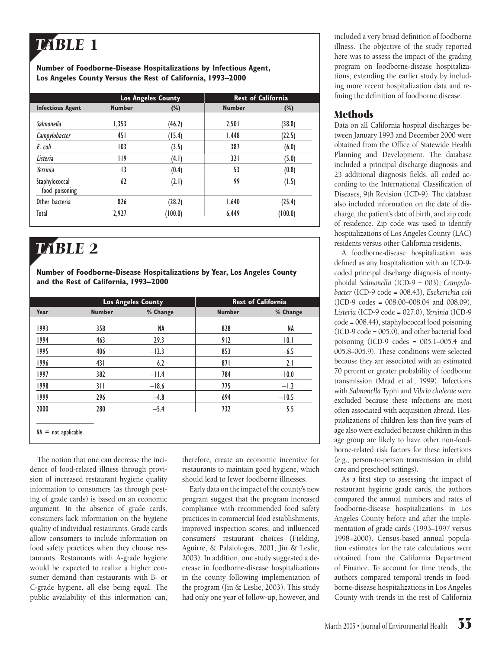## *TABLE* 1

**Number of Foodborne-Disease Hospitalizations by Infectious Agent, Los Angeles County Versus the Rest of California, 1993–2000**

|                                  |               | <b>Los Angeles County</b> | <b>Rest of California</b> |         |  |
|----------------------------------|---------------|---------------------------|---------------------------|---------|--|
| <b>Infectious Agent</b>          | <b>Number</b> | $(\%)$                    | <b>Number</b>             | $(\%)$  |  |
| Salmonella                       | 1,353         | (46.2)                    | 2,501                     | (38.8)  |  |
| Campylobacter                    | 45 I          | (15.4)                    | 1,448                     | (22.5)  |  |
| E. coli                          | 103           | (3.5)                     | 387                       | (6.0)   |  |
| Listeria                         | 119           | (4.1)                     | 321                       | (5.0)   |  |
| Yersinia                         | 13            | (0.4)                     | 53                        | (0.8)   |  |
| Staphylococcal<br>food poisoning | 62            | (2.1)                     | 99                        | (1.5)   |  |
| Other bacteria                   | 826           | (28.2)                    | 1,640                     | (25.4)  |  |
| Total                            | 2,927         | (100.0)                   | 6,449                     | (100.0) |  |

### *TABLE* 2

**Number of Foodborne-Disease Hospitalizations by Year, Los Angeles County and the Rest of California, 1993–2000**

|      |               | <b>Los Angeles County</b> |               | <b>Rest of California</b> |  |  |
|------|---------------|---------------------------|---------------|---------------------------|--|--|
| Year | <b>Number</b> | % Change                  | <b>Number</b> | % Change                  |  |  |
| 1993 | 358           | NA                        | 828           | NA                        |  |  |
| 1994 | 463           | 29.3                      | 912           | 10.1                      |  |  |
| 1995 | 406           | $-12.3$                   | 853           | $-6.5$                    |  |  |
| 1996 | 431           | 6.2                       | 871           | 2.1                       |  |  |
| 1997 | 382           | $-11.4$                   | 784           | $-10.0$                   |  |  |
| 1998 | 311           | $-18.6$                   | 775           | $-1.2$                    |  |  |
| 1999 | 296           | $-4.8$                    | 694           | $-10.5$                   |  |  |
| 2000 | 280           | $-5.4$                    | 732           | 5.5                       |  |  |

The notion that one can decrease the incidence of food-related illness through provision of increased restaurant hygiene quality information to consumers (as through posting of grade cards) is based on an economic argument. In the absence of grade cards, consumers lack information on the hygiene quality of individual restaurants. Grade cards allow consumers to include information on food safety practices when they choose restaurants. Restaurants with A-grade hygiene would be expected to realize a higher consumer demand than restaurants with B- or C-grade hygiene, all else being equal. The public availability of this information can,

therefore, create an economic incentive for restaurants to maintain good hygiene, which should lead to fewer foodborne illnesses.

Early data on the impact of the county's new program suggest that the program increased compliance with recommended food safety practices in commercial food establishments, improved inspection scores, and influenced consumers' restaurant choices (Fielding, Aguirre, & Palaiologos, 2001; Jin & Leslie, 2003). In addition, one study suggested a decrease in foodborne-disease hospitalizations in the county following implementation of the program (Jin & Leslie, 2003). This study had only one year of follow-up, however, and

included a very broad definition of foodborne illness. The objective of the study reported here was to assess the impact of the grading program on foodborne-disease hospitalizations, extending the earlier study by including more recent hospitalization data and refining the definition of foodborne disease.

#### **Methods**

Data on all California hospital discharges between January 1993 and December 2000 were obtained from the Office of Statewide Health Planning and Development. The database included a principal discharge diagnosis and 23 additional diagnosis fields, all coded according to the International Classification of Diseases, 9th Revision (ICD-9). The database also included information on the date of discharge, the patient's date of birth, and zip code of residence. Zip code was used to identify hospitalizations of Los Angeles County (LAC) residents versus other California residents.

 A foodborne-disease hospitalization was defined as any hospitalization with an ICD-9 coded principal discharge diagnosis of nontyphoidal *Salmonella* (ICD-9 = 003), *Campylobacter* (ICD-9 code = 008.43), *Escherichia coli* (ICD-9 codes = 008.00–008.04 and 008.09), *Listeria* (ICD-9 code = 027.0), *Yersinia* (ICD-9 code = 008.44), staphylococcal food poisoning (ICD-9 code = 005.0), and other bacterial food poisoning (ICD-9 codes = 005.1–005.4 and 005.8–005.9). These conditions were selected because they are associated with an estimated 70 percent or greater probability of foodborne transmission (Mead et al., 1999). Infections with *Salmonella* Typhi and *Vibrio cholerae* were excluded because these infections are most often associated with acquisition abroad. Hospitalizations of children less than five years of age also were excluded because children in this age group are likely to have other non-foodborne-related risk factors for these infections (e.g., person-to-person transmission in child care and preschool settings).

 As a first step to assessing the impact of restaurant hygiene grade cards, the authors compared the annual numbers and rates of foodborne-disease hospitalizations in Los Angeles County before and after the implementation of grade cards (1993–1997 versus 1998–2000). Census-based annual population estimates for the rate calculations were obtained from the California Department of Finance. To account for time trends, the authors compared temporal trends in foodborne-disease hospitalizations in Los Angeles County with trends in the rest of California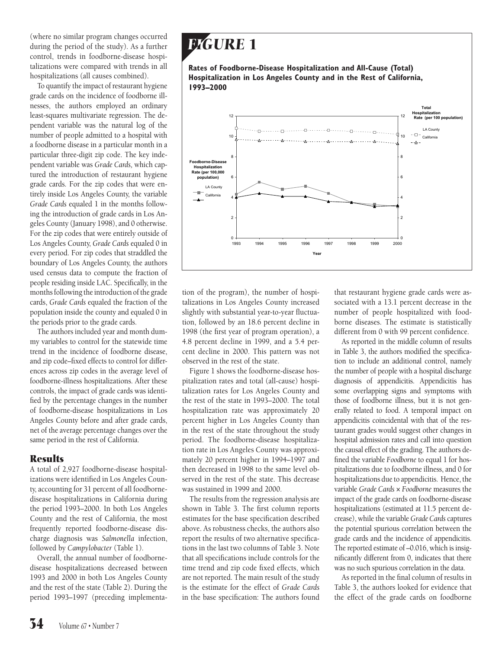(where no similar program changes occurred during the period of the study). As a further control, trends in foodborne-disease hospitalizations were compared with trends in all hospitalizations (all causes combined).

 To quantify the impact of restaurant hygiene grade cards on the incidence of foodborne illnesses, the authors employed an ordinary least-squares multivariate regression. The dependent variable was the natural log of the number of people admitted to a hospital with a foodborne disease in a particular month in a particular three-digit zip code. The key independent variable was *Grade Cards,* which captured the introduction of restaurant hygiene grade cards. For the zip codes that were entirely inside Los Angeles County, the variable *Grade Cards* equaled 1 in the months following the introduction of grade cards in Los Angeles County (January 1998), and 0 otherwise. For the zip codes that were entirely outside of Los Angeles County, *Grade Cards* equaled 0 in every period. For zip codes that straddled the boundary of Los Angeles County, the authors used census data to compute the fraction of people residing inside LAC. Specifically, in the months following the introduction of the grade cards, *Grade Cards* equaled the fraction of the population inside the county and equaled 0 in the periods prior to the grade cards.

 The authors included year and month dummy variables to control for the statewide time trend in the incidence of foodborne disease, and zip code–fixed effects to control for differences across zip codes in the average level of foodborne-illness hospitalizations. After these controls, the impact of grade cards was identified by the percentage changes in the number of foodborne-disease hospitalizations in Los Angeles County before and after grade cards, net of the average percentage changes over the same period in the rest of California.

#### **Results**

A total of 2,927 foodborne-disease hospitalizations were identified in Los Angeles County, accounting for 31 percent of all foodbornedisease hospitalizations in California during the period 1993–2000. In both Los Angeles County and the rest of California, the most frequently reported foodborne-disease discharge diagnosis was *Salmonella* infection, followed by *Campylobacter* (Table 1).

 Overall, the annual number of foodbornedisease hospitalizations decreased between 1993 and 2000 in both Los Angeles County and the rest of the state (Table 2). During the period 1993–1997 (preceding implementa-

#### *FIGURE* 1





tion of the program), the number of hospitalizations in Los Angeles County increased slightly with substantial year-to-year fluctuation, followed by an 18.6 percent decline in 1998 (the first year of program operation), a 4.8 percent decline in 1999, and a 5.4 percent decline in 2000. This pattern was not observed in the rest of the state.

Figure 1 shows the foodborne-disease hospitalization rates and total (all-cause) hospitalization rates for Los Angeles County and the rest of the state in 1993–2000. The total hospitalization rate was approximately 20 percent higher in Los Angeles County than in the rest of the state throughout the study period. The foodborne-disease hospitalization rate in Los Angeles County was approximately 20 percent higher in 1994–1997 and then decreased in 1998 to the same level observed in the rest of the state. This decrease was sustained in 1999 and 2000.

 The results from the regression analysis are shown in Table 3. The first column reports estimates for the base specification described above. As robustness checks, the authors also report the results of two alternative specifications in the last two columns of Table 3. Note that all specifications include controls for the time trend and zip code fixed effects, which are not reported. The main result of the study is the estimate for the effect of *Grade Cards* in the base specification: The authors found that restaurant hygiene grade cards were associated with a 13.1 percent decrease in the number of people hospitalized with foodborne diseases. The estimate is statistically different from 0 with 99 percent confidence.

 As reported in the middle column of results in Table 3, the authors modified the specification to include an additional control, namely the number of people with a hospital discharge diagnosis of appendicitis. Appendicitis has some overlapping signs and symptoms with those of foodborne illness, but it is not generally related to food. A temporal impact on appendicitis coincidental with that of the restaurant grades would suggest other changes in hospital admission rates and call into question the causal effect of the grading. The authors defined the variable *Foodborne* to equal 1 for hospitalizations due to foodborne illness, and 0 for hospitalizations due to appendicitis. Hence, the variable *Grade Cards* × *Foodborne* measures the impact of the grade cards on foodborne-disease hospitalizations (estimated at 11.5 percent decrease), while the variable *Grade Cards* captures the potential spurious correlation between the grade cards and the incidence of appendicitis. The reported estimate of –0.016, which is insignificantly different from 0, indicates that there was no such spurious correlation in the data.

 As reported in the final column of results in Table 3, the authors looked for evidence that the effect of the grade cards on foodborne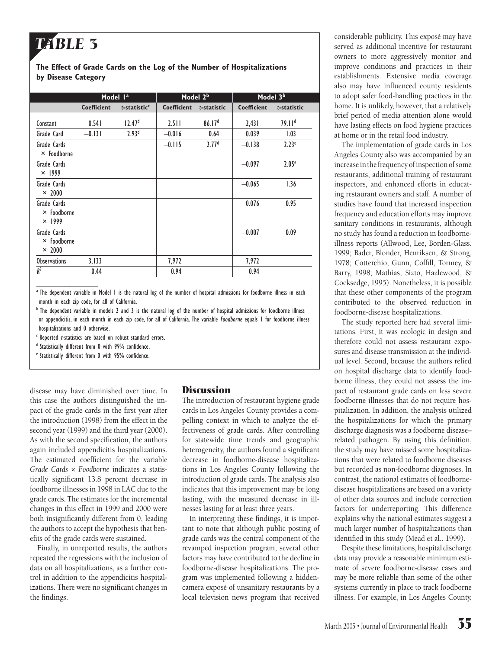## *TABLE* 3

**The Effect of Grade Cards on the Log of the Number of Hospitalizations by Disease Category**

|                                                    | Model l <sup>a</sup> |                          | Model 2 <sup>b</sup> |                    | Model 3 <sup>b</sup> |                    |
|----------------------------------------------------|----------------------|--------------------------|----------------------|--------------------|----------------------|--------------------|
|                                                    | <b>Coefficient</b>   | t-statistic <sup>c</sup> | <b>Coefficient</b>   | t-statistic        | <b>Coefficient</b>   | t-statistic        |
| Constant                                           | 0.541                | 12.47 <sup>d</sup>       | 2.511                | 86.17 <sup>d</sup> | 2,431                | 79.11 <sup>d</sup> |
| Grade Card                                         | $-0.131$             | 2.93 <sup>d</sup>        | $-0.016$             | 0.64               | 0.039                | 1.03               |
| Grade Cards<br>$\times$ Foodborne                  |                      |                          | $-0.115$             | 2.77 <sup>d</sup>  | $-0.138$             | $2.23^e$           |
| Grade Cards<br>$\times$ 1999                       |                      |                          |                      |                    | $-0.097$             | 2.05 <sup>e</sup>  |
| Grade Cards<br>$\times$ 2000                       |                      |                          |                      |                    | $-0.065$             | 1.36               |
| Grade Cards<br>$\times$ Foodborne<br>$\times$ 1999 |                      |                          |                      |                    | 0.076                | 0.95               |
| Grade Cards<br>$\times$ Foodborne<br>$\times$ 2000 |                      |                          |                      |                    | $-0.007$             | 0.09               |
| <b>Observations</b>                                | 3,133                |                          | 7,972                |                    | 7,972                |                    |
| $R^2$                                              | 0.44                 |                          | 0.94                 |                    | 0.94                 |                    |

<sup>a</sup> The dependent variable in Model I is the natural log of the number of hospital admissions for foodborne illness in each month in each zip code, for all of California.

<sup>b</sup> The dependent variable in models 2 and 3 is the natural log of the number of hospital admissions for foodborne illness or appendicitis, in each month in each zip code, for all of California. The variable Foodborne equals 1 for foodborne illness hospitalizations and 0 otherwise.

c Reported t-statistics are based on robust standard errors.

d Statistically different from 0 with 99% confidence.

 $\mathcal{L}_\text{max}$ 

e Statistically different from 0 with 95% confidence.

disease may have diminished over time. In this case the authors distinguished the impact of the grade cards in the first year after the introduction (1998) from the effect in the second year (1999) and the third year (2000). As with the second specification, the authors again included appendicitis hospitalizations. The estimated coefficient for the variable *Grade Cards* × *Foodborne* indicates a statistically significant 13.8 percent decrease in foodborne illnesses in 1998 in LAC due to the grade cards. The estimates for the incremental changes in this effect in 1999 and 2000 were both insignificantly different from 0, leading the authors to accept the hypothesis that benefits of the grade cards were sustained.

 Finally, in unreported results, the authors repeated the regressions with the inclusion of data on all hospitalizations, as a further control in addition to the appendicitis hospitalizations. There were no significant changes in the findings.

#### **Discussion**

The introduction of restaurant hygiene grade cards in Los Angeles County provides a compelling context in which to analyze the effectiveness of grade cards. After controlling for statewide time trends and geographic heterogeneity, the authors found a significant decrease in foodborne-disease hospitalizations in Los Angeles County following the introduction of grade cards. The analysis also indicates that this improvement may be long lasting, with the measured decrease in illnesses lasting for at least three years.

 In interpreting these findings, it is important to note that although public posting of grade cards was the central component of the revamped inspection program, several other factors may have contributed to the decline in foodborne-disease hospitalizations. The program was implemented following a hiddencamera exposé of unsanitary restaurants by a local television news program that received

considerable publicity. This exposé may have served as additional incentive for restaurant owners to more aggressively monitor and improve conditions and practices in their establishments. Extensive media coverage also may have influenced county residents to adopt safer food-handling practices in the home. It is unlikely, however, that a relatively brief period of media attention alone would have lasting effects on food hygiene practices at home or in the retail food industry.

 The implementation of grade cards in Los Angeles County also was accompanied by an increase in the frequency of inspection of some restaurants, additional training of restaurant inspectors, and enhanced efforts in educating restaurant owners and staff. A number of studies have found that increased inspection frequency and education efforts may improve sanitary conditions in restaurants, although no study has found a reduction in foodborneillness reports (Allwood, Lee, Borden-Glass, 1999; Bader, Blonder, Henriksen, & Strong, 1978; Cotterchio, Gunn, Coffill, Tormey, & Barry, 1998; Mathias, Sizto, Hazlewood, & Cocksedge, 1995). Nonetheless, it is possible that these other components of the program contributed to the observed reduction in foodborne-disease hospitalizations.

 The study reported here had several limitations. First, it was ecologic in design and therefore could not assess restaurant exposures and disease transmission at the individual level. Second, because the authors relied on hospital discharge data to identify foodborne illness, they could not assess the impact of restaurant grade cards on less severe foodborne illnesses that do not require hospitalization. In addition, the analysis utilized the hospitalizations for which the primary discharge diagnosis was a foodborne disease– related pathogen. By using this definition, the study may have missed some hospitalizations that were related to foodborne diseases but recorded as non-foodborne diagnoses. In contrast, the national estimates of foodbornedisease hospitalizations are based on a variety of other data sources and include correction factors for underreporting. This difference explains why the national estimates suggest a much larger number of hospitalizations than identified in this study (Mead et al., 1999).

 Despite these limitations, hospital discharge data may provide a reasonable minimum estimate of severe foodborne-disease cases and may be more reliable than some of the other systems currently in place to track foodborne illness. For example, in Los Angeles County,